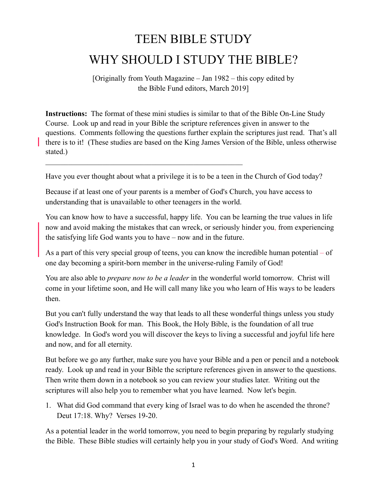## TEEN BIBLE STUDY WHY SHOULD I STUDY THE BIBLE?

[Originally from Youth Magazine – Jan 1982 – this copy edited by the Bible Fund editors, March 2019]

**Instructions:** The format of these mini studies is similar to that of the Bible On-Line Study Course. Look up and read in your Bible the scripture references given in answer to the questions. Comments following the questions further explain the scriptures just read. That's all there is to it! (These studies are based on the King James Version of the Bible, unless otherwise stated.)

Have you ever thought about what a privilege it is to be a teen in the Church of God today?

Because if at least one of your parents is a member of God's Church, you have access to understanding that is unavailable to other teenagers in the world.

 $\mathcal{L}_\text{max}$  , and the contract of the contract of the contract of the contract of the contract of the contract of

You can know how to have a successful, happy life. You can be learning the true values in life now and avoid making the mistakes that can wreck, or seriously hinder you, from experiencing the satisfying life God wants you to have – now and in the future.

As a part of this very special group of teens, you can know the incredible human potential – of one day becoming a spirit-born member in the universe-ruling Family of God!

You are also able to *prepare now to be a leader* in the wonderful world tomorrow. Christ will come in your lifetime soon, and He will call many like you who learn of His ways to be leaders then.

But you can't fully understand the way that leads to all these wonderful things unless you study God's Instruction Book for man. This Book, the Holy Bible, is the foundation of all true knowledge. In God's word you will discover the keys to living a successful and joyful life here and now, and for all eternity.

But before we go any further, make sure you have your Bible and a pen or pencil and a notebook ready. Look up and read in your Bible the scripture references given in answer to the questions. Then write them down in a notebook so you can review your studies later. Writing out the scriptures will also help you to remember what you have learned. Now let's begin.

1. What did God command that every king of Israel was to do when he ascended the throne? Deut 17:18. Why? Verses 19-20.

As a potential leader in the world tomorrow, you need to begin preparing by regularly studying the Bible. These Bible studies will certainly help you in your study of God's Word. And writing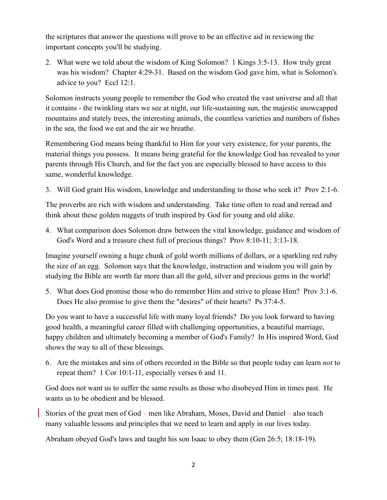the scriptures that answer the questions will prove to be an effective aid in reviewing the important concepts you'll be studying.

2. What were we told about the wisdom of King Solomon? 1 Kings 3:5-13. How truly great was his wisdom? Chapter 4:29-31. Based on the wisdom God gave him, what is Solomon's advice to you? Eccl 12:1.

Solomon instructs young people to remember the God who created the vast universe and all that it contains - the twinkling stars we see at night, our life-sustaining sun, the majestic snowcapped mountains and stately trees, the interesting animals, the countless varieties and numbers of fishes in the sea, the food we eat and the air we breathe.

Remembering God means being thankful to Him for your very existence, for your parents, the material things you possess. It means being grateful for the knowledge God has revealed to your parents through His Church, and for the fact you are especially blessed to have access to this same, wonderful knowledge.

3. Will God grant His wisdom, knowledge and understanding to those who seek it? Prov 2:1-6.

The proverbs are rich with wisdom and understanding. Take time often to read and reread and think about these golden nuggets of truth inspired by God for young and old alike.

4. What comparison does Solomon draw between the vital knowledge, guidance and wisdom of God's Word and a treasure chest full of precious things? Prov 8:10-11; 3:13-18.

Imagine yourself owning a huge chunk of gold worth millions of dollars, or a sparkling red ruby the size of an egg. Solomon says that the knowledge, instruction and wisdom you will gain by studying the Bible are worth far more than all the gold, silver and precious gems in the world!

5. What does God promise those who do remember Him and strive to please Him? Prov 3:1-6. Does He also promise to give them the "desires" of their hearts? Ps 37:4-5.

Do you want to have a successful life with many loyal friends? Do you look forward to having good health, a meaningful career filled with challenging opportunities, a beautiful marriage, happy children and ultimately becoming a member of God's Family? In His inspired Word, God shows the way to all of these blessings.

6. Are the mistakes and sins of others recorded in the Bible so that people today can learn *not* to repeat them? 1 Cor 10:1-11, especially verses 6 and 11.

God does not want us to suffer the same results as those who disobeyed Him in times past. He wants us to be obedient and be blessed.

Stories of the great men of God – men like Abraham, Moses, David and Daniel – also teach many valuable lessons and principles that we need to learn and apply in our lives today.

Abraham obeyed God's laws and taught his son Isaac to obey them (Gen 26:5; 18:18-19).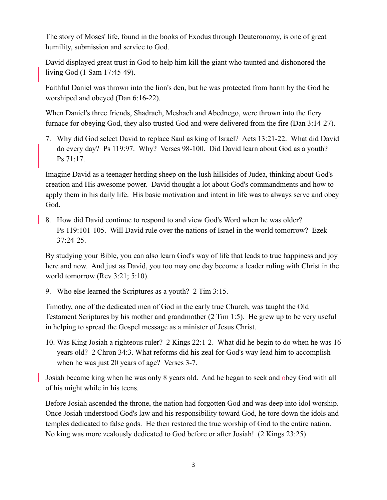The story of Moses' life, found in the books of Exodus through Deuteronomy, is one of great humility, submission and service to God.

David displayed great trust in God to help him kill the giant who taunted and dishonored the living God (1 Sam 17:45-49).

Faithful Daniel was thrown into the lion's den, but he was protected from harm by the God he worshiped and obeyed (Dan 6:16-22).

When Daniel's three friends, Shadrach, Meshach and Abednego, were thrown into the fiery furnace for obeying God, they also trusted God and were delivered from the fire (Dan 3:14-27).

7. Why did God select David to replace Saul as king of Israel? Acts 13:21-22. What did David do every day? Ps 119:97. Why? Verses 98-100. Did David learn about God as a youth? Ps 71:17.

Imagine David as a teenager herding sheep on the lush hillsides of Judea, thinking about God's creation and His awesome power. David thought a lot about God's commandments and how to apply them in his daily life. His basic motivation and intent in life was to always serve and obey God.

8. How did David continue to respond to and view God's Word when he was older? Ps 119:101-105. Will David rule over the nations of Israel in the world tomorrow? Ezek 37:24-25.

By studying your Bible, you can also learn God's way of life that leads to true happiness and joy here and now. And just as David, you too may one day become a leader ruling with Christ in the world tomorrow (Rev 3:21; 5:10).

9. Who else learned the Scriptures as a youth? 2 Tim 3:15.

Timothy, one of the dedicated men of God in the early true Church, was taught the Old Testament Scriptures by his mother and grandmother (2 Tim 1:5). He grew up to be very useful in helping to spread the Gospel message as a minister of Jesus Christ.

10. Was King Josiah a righteous ruler? 2 Kings 22:1-2. What did he begin to do when he was 16 years old? 2 Chron 34:3. What reforms did his zeal for God's way lead him to accomplish when he was just 20 years of age? Verses 3-7.

Josiah became king when he was only 8 years old. And he began to seek and obey God with all of his might while in his teens.

Before Josiah ascended the throne, the nation had forgotten God and was deep into idol worship. Once Josiah understood God's law and his responsibility toward God, he tore down the idols and temples dedicated to false gods. He then restored the true worship of God to the entire nation. No king was more zealously dedicated to God before or after Josiah! (2 Kings 23:25)